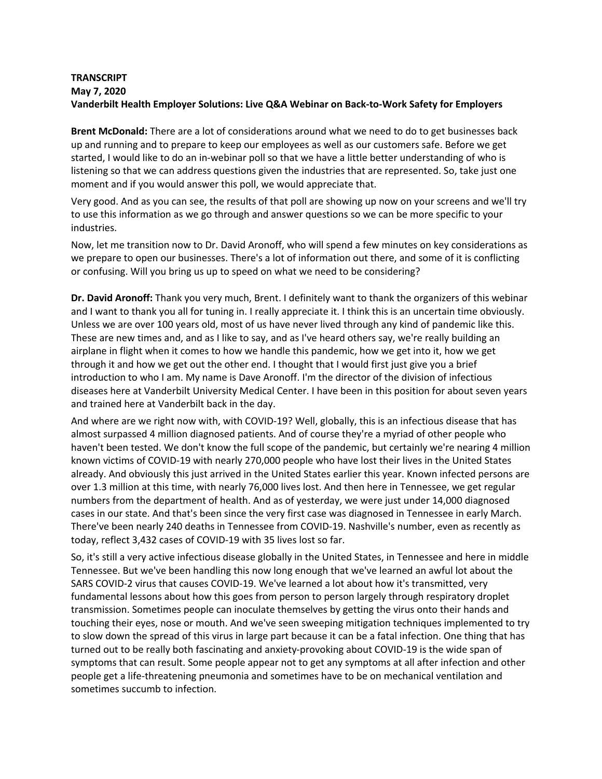## **TRANSCRIPT May 7, 2020 Vanderbilt Health Employer Solutions: Live Q&A Webinar on Back-to-Work Safety for Employers**

**Brent McDonald:** There are a lot of considerations around what we need to do to get businesses back up and running and to prepare to keep our employees as well as our customers safe. Before we get started, I would like to do an in-webinar poll so that we have a little better understanding of who is listening so that we can address questions given the industries that are represented. So, take just one moment and if you would answer this poll, we would appreciate that.

Very good. And as you can see, the results of that poll are showing up now on your screens and we'll try to use this information as we go through and answer questions so we can be more specific to your industries.

Now, let me transition now to Dr. David Aronoff, who will spend a few minutes on key considerations as we prepare to open our businesses. There's a lot of information out there, and some of it is conflicting or confusing. Will you bring us up to speed on what we need to be considering?

**Dr. David Aronoff:** Thank you very much, Brent. I definitely want to thank the organizers of this webinar and I want to thank you all for tuning in. I really appreciate it. I think this is an uncertain time obviously. Unless we are over 100 years old, most of us have never lived through any kind of pandemic like this. These are new times and, and as I like to say, and as I've heard others say, we're really building an airplane in flight when it comes to how we handle this pandemic, how we get into it, how we get through it and how we get out the other end. I thought that I would first just give you a brief introduction to who I am. My name is Dave Aronoff. I'm the director of the division of infectious diseases here at Vanderbilt University Medical Center. I have been in this position for about seven years and trained here at Vanderbilt back in the day.

And where are we right now with, with COVID-19? Well, globally, this is an infectious disease that has almost surpassed 4 million diagnosed patients. And of course they're a myriad of other people who haven't been tested. We don't know the full scope of the pandemic, but certainly we're nearing 4 million known victims of COVID-19 with nearly 270,000 people who have lost their lives in the United States already. And obviously this just arrived in the United States earlier this year. Known infected persons are over 1.3 million at this time, with nearly 76,000 lives lost. And then here in Tennessee, we get regular numbers from the department of health. And as of yesterday, we were just under 14,000 diagnosed cases in our state. And that's been since the very first case was diagnosed in Tennessee in early March. There've been nearly 240 deaths in Tennessee from COVID-19. Nashville's number, even as recently as today, reflect 3,432 cases of COVID-19 with 35 lives lost so far.

So, it's still a very active infectious disease globally in the United States, in Tennessee and here in middle Tennessee. But we've been handling this now long enough that we've learned an awful lot about the SARS COVID-2 virus that causes COVID-19. We've learned a lot about how it's transmitted, very fundamental lessons about how this goes from person to person largely through respiratory droplet transmission. Sometimes people can inoculate themselves by getting the virus onto their hands and touching their eyes, nose or mouth. And we've seen sweeping mitigation techniques implemented to try to slow down the spread of this virus in large part because it can be a fatal infection. One thing that has turned out to be really both fascinating and anxiety-provoking about COVID-19 is the wide span of symptoms that can result. Some people appear not to get any symptoms at all after infection and other people get a life-threatening pneumonia and sometimes have to be on mechanical ventilation and sometimes succumb to infection.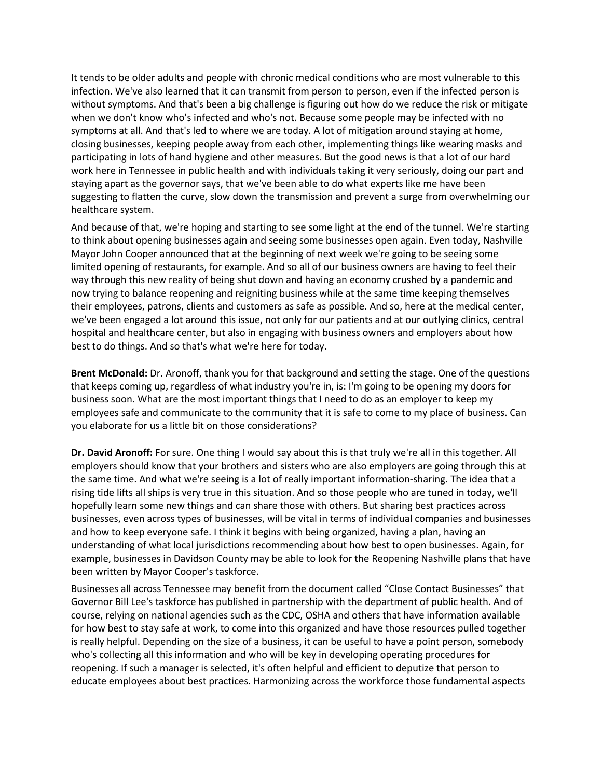It tends to be older adults and people with chronic medical conditions who are most vulnerable to this infection. We've also learned that it can transmit from person to person, even if the infected person is without symptoms. And that's been a big challenge is figuring out how do we reduce the risk or mitigate when we don't know who's infected and who's not. Because some people may be infected with no symptoms at all. And that's led to where we are today. A lot of mitigation around staying at home, closing businesses, keeping people away from each other, implementing things like wearing masks and participating in lots of hand hygiene and other measures. But the good news is that a lot of our hard work here in Tennessee in public health and with individuals taking it very seriously, doing our part and staying apart as the governor says, that we've been able to do what experts like me have been suggesting to flatten the curve, slow down the transmission and prevent a surge from overwhelming our healthcare system.

And because of that, we're hoping and starting to see some light at the end of the tunnel. We're starting to think about opening businesses again and seeing some businesses open again. Even today, Nashville Mayor John Cooper announced that at the beginning of next week we're going to be seeing some limited opening of restaurants, for example. And so all of our business owners are having to feel their way through this new reality of being shut down and having an economy crushed by a pandemic and now trying to balance reopening and reigniting business while at the same time keeping themselves their employees, patrons, clients and customers as safe as possible. And so, here at the medical center, we've been engaged a lot around this issue, not only for our patients and at our outlying clinics, central hospital and healthcare center, but also in engaging with business owners and employers about how best to do things. And so that's what we're here for today.

**Brent McDonald:** Dr. Aronoff, thank you for that background and setting the stage. One of the questions that keeps coming up, regardless of what industry you're in, is: I'm going to be opening my doors for business soon. What are the most important things that I need to do as an employer to keep my employees safe and communicate to the community that it is safe to come to my place of business. Can you elaborate for us a little bit on those considerations?

**Dr. David Aronoff:** For sure. One thing I would say about this is that truly we're all in this together. All employers should know that your brothers and sisters who are also employers are going through this at the same time. And what we're seeing is a lot of really important information-sharing. The idea that a rising tide lifts all ships is very true in this situation. And so those people who are tuned in today, we'll hopefully learn some new things and can share those with others. But sharing best practices across businesses, even across types of businesses, will be vital in terms of individual companies and businesses and how to keep everyone safe. I think it begins with being organized, having a plan, having an understanding of what local jurisdictions recommending about how best to open businesses. Again, for example, businesses in Davidson County may be able to look for the Reopening Nashville plans that have been written by Mayor Cooper's taskforce.

Businesses all across Tennessee may benefit from the document called "Close Contact Businesses" that Governor Bill Lee's taskforce has published in partnership with the department of public health. And of course, relying on national agencies such as the CDC, OSHA and others that have information available for how best to stay safe at work, to come into this organized and have those resources pulled together is really helpful. Depending on the size of a business, it can be useful to have a point person, somebody who's collecting all this information and who will be key in developing operating procedures for reopening. If such a manager is selected, it's often helpful and efficient to deputize that person to educate employees about best practices. Harmonizing across the workforce those fundamental aspects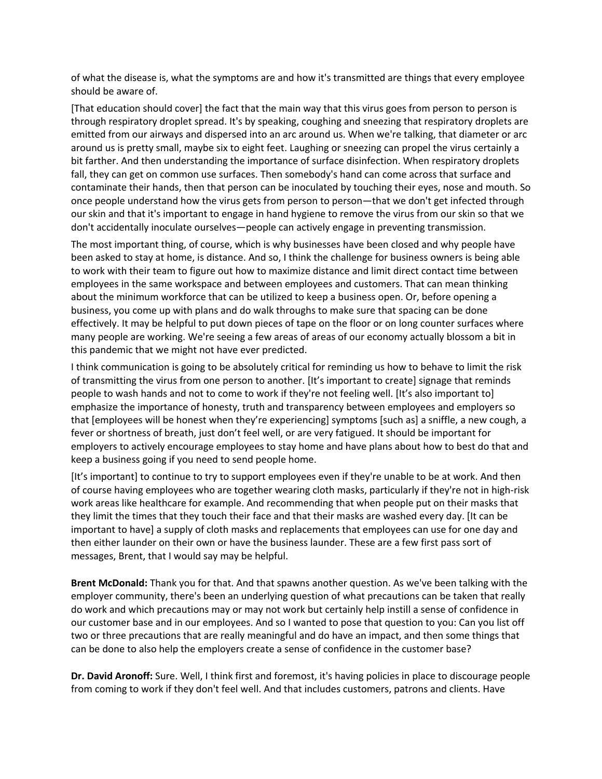of what the disease is, what the symptoms are and how it's transmitted are things that every employee should be aware of.

[That education should cover] the fact that the main way that this virus goes from person to person is through respiratory droplet spread. It's by speaking, coughing and sneezing that respiratory droplets are emitted from our airways and dispersed into an arc around us. When we're talking, that diameter or arc around us is pretty small, maybe six to eight feet. Laughing or sneezing can propel the virus certainly a bit farther. And then understanding the importance of surface disinfection. When respiratory droplets fall, they can get on common use surfaces. Then somebody's hand can come across that surface and contaminate their hands, then that person can be inoculated by touching their eyes, nose and mouth. So once people understand how the virus gets from person to person—that we don't get infected through our skin and that it's important to engage in hand hygiene to remove the virus from our skin so that we don't accidentally inoculate ourselves—people can actively engage in preventing transmission.

The most important thing, of course, which is why businesses have been closed and why people have been asked to stay at home, is distance. And so, I think the challenge for business owners is being able to work with their team to figure out how to maximize distance and limit direct contact time between employees in the same workspace and between employees and customers. That can mean thinking about the minimum workforce that can be utilized to keep a business open. Or, before opening a business, you come up with plans and do walk throughs to make sure that spacing can be done effectively. It may be helpful to put down pieces of tape on the floor or on long counter surfaces where many people are working. We're seeing a few areas of areas of our economy actually blossom a bit in this pandemic that we might not have ever predicted.

I think communication is going to be absolutely critical for reminding us how to behave to limit the risk of transmitting the virus from one person to another. [It's important to create] signage that reminds people to wash hands and not to come to work if they're not feeling well. [It's also important to] emphasize the importance of honesty, truth and transparency between employees and employers so that [employees will be honest when they're experiencing] symptoms [such as] a sniffle, a new cough, a fever or shortness of breath, just don't feel well, or are very fatigued. It should be important for employers to actively encourage employees to stay home and have plans about how to best do that and keep a business going if you need to send people home.

[It's important] to continue to try to support employees even if they're unable to be at work. And then of course having employees who are together wearing cloth masks, particularly if they're not in high-risk work areas like healthcare for example. And recommending that when people put on their masks that they limit the times that they touch their face and that their masks are washed every day. [It can be important to have] a supply of cloth masks and replacements that employees can use for one day and then either launder on their own or have the business launder. These are a few first pass sort of messages, Brent, that I would say may be helpful.

**Brent McDonald:** Thank you for that. And that spawns another question. As we've been talking with the employer community, there's been an underlying question of what precautions can be taken that really do work and which precautions may or may not work but certainly help instill a sense of confidence in our customer base and in our employees. And so I wanted to pose that question to you: Can you list off two or three precautions that are really meaningful and do have an impact, and then some things that can be done to also help the employers create a sense of confidence in the customer base?

**Dr. David Aronoff:** Sure. Well, I think first and foremost, it's having policies in place to discourage people from coming to work if they don't feel well. And that includes customers, patrons and clients. Have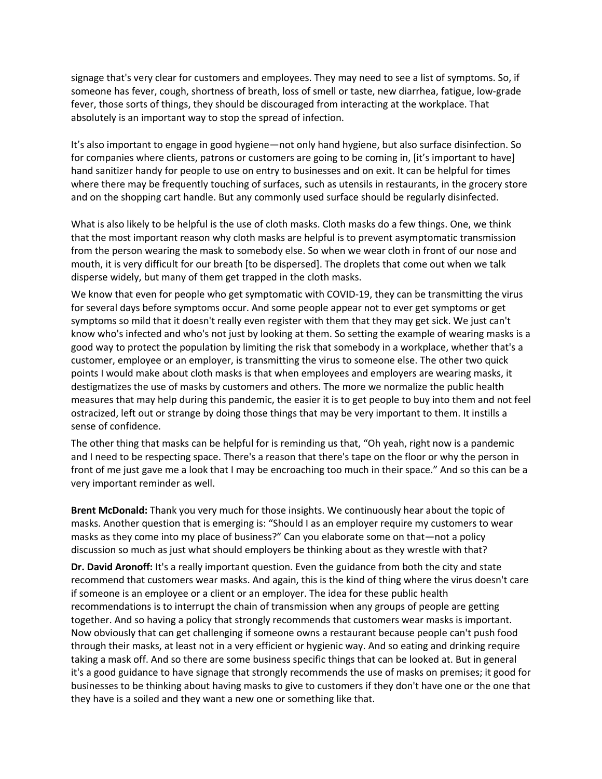signage that's very clear for customers and employees. They may need to see a list of symptoms. So, if someone has fever, cough, shortness of breath, loss of smell or taste, new diarrhea, fatigue, low-grade fever, those sorts of things, they should be discouraged from interacting at the workplace. That absolutely is an important way to stop the spread of infection.

It's also important to engage in good hygiene—not only hand hygiene, but also surface disinfection. So for companies where clients, patrons or customers are going to be coming in, [it's important to have] hand sanitizer handy for people to use on entry to businesses and on exit. It can be helpful for times where there may be frequently touching of surfaces, such as utensils in restaurants, in the grocery store and on the shopping cart handle. But any commonly used surface should be regularly disinfected.

What is also likely to be helpful is the use of cloth masks. Cloth masks do a few things. One, we think that the most important reason why cloth masks are helpful is to prevent asymptomatic transmission from the person wearing the mask to somebody else. So when we wear cloth in front of our nose and mouth, it is very difficult for our breath [to be dispersed]. The droplets that come out when we talk disperse widely, but many of them get trapped in the cloth masks.

We know that even for people who get symptomatic with COVID-19, they can be transmitting the virus for several days before symptoms occur. And some people appear not to ever get symptoms or get symptoms so mild that it doesn't really even register with them that they may get sick. We just can't know who's infected and who's not just by looking at them. So setting the example of wearing masks is a good way to protect the population by limiting the risk that somebody in a workplace, whether that's a customer, employee or an employer, is transmitting the virus to someone else. The other two quick points I would make about cloth masks is that when employees and employers are wearing masks, it destigmatizes the use of masks by customers and others. The more we normalize the public health measures that may help during this pandemic, the easier it is to get people to buy into them and not feel ostracized, left out or strange by doing those things that may be very important to them. It instills a sense of confidence.

The other thing that masks can be helpful for is reminding us that, "Oh yeah, right now is a pandemic and I need to be respecting space. There's a reason that there's tape on the floor or why the person in front of me just gave me a look that I may be encroaching too much in their space." And so this can be a very important reminder as well.

**Brent McDonald:** Thank you very much for those insights. We continuously hear about the topic of masks. Another question that is emerging is: "Should I as an employer require my customers to wear masks as they come into my place of business?" Can you elaborate some on that—not a policy discussion so much as just what should employers be thinking about as they wrestle with that?

**Dr. David Aronoff:** It's a really important question. Even the guidance from both the city and state recommend that customers wear masks. And again, this is the kind of thing where the virus doesn't care if someone is an employee or a client or an employer. The idea for these public health recommendations is to interrupt the chain of transmission when any groups of people are getting together. And so having a policy that strongly recommends that customers wear masks is important. Now obviously that can get challenging if someone owns a restaurant because people can't push food through their masks, at least not in a very efficient or hygienic way. And so eating and drinking require taking a mask off. And so there are some business specific things that can be looked at. But in general it's a good guidance to have signage that strongly recommends the use of masks on premises; it good for businesses to be thinking about having masks to give to customers if they don't have one or the one that they have is a soiled and they want a new one or something like that.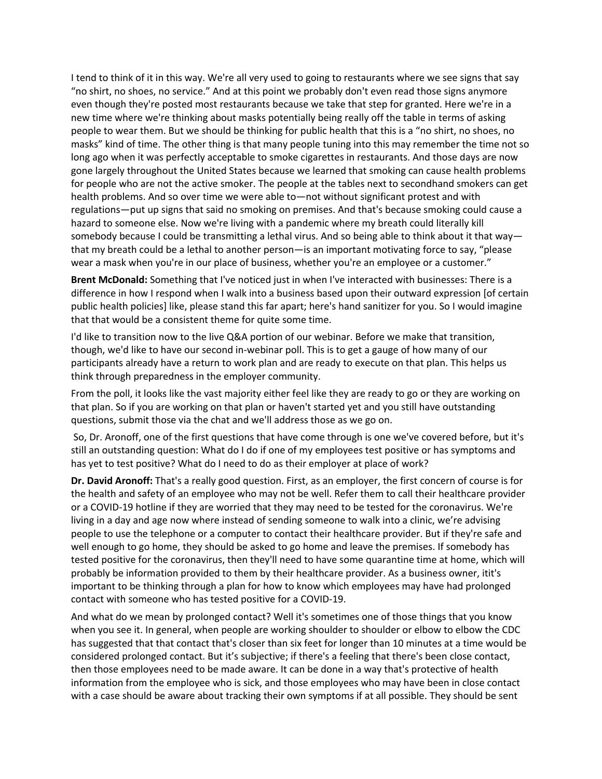I tend to think of it in this way. We're all very used to going to restaurants where we see signs that say "no shirt, no shoes, no service." And at this point we probably don't even read those signs anymore even though they're posted most restaurants because we take that step for granted. Here we're in a new time where we're thinking about masks potentially being really off the table in terms of asking people to wear them. But we should be thinking for public health that this is a "no shirt, no shoes, no masks" kind of time. The other thing is that many people tuning into this may remember the time not so long ago when it was perfectly acceptable to smoke cigarettes in restaurants. And those days are now gone largely throughout the United States because we learned that smoking can cause health problems for people who are not the active smoker. The people at the tables next to secondhand smokers can get health problems. And so over time we were able to—not without significant protest and with regulations—put up signs that said no smoking on premises. And that's because smoking could cause a hazard to someone else. Now we're living with a pandemic where my breath could literally kill somebody because I could be transmitting a lethal virus. And so being able to think about it that way that my breath could be a lethal to another person—is an important motivating force to say, "please wear a mask when you're in our place of business, whether you're an employee or a customer."

**Brent McDonald:** Something that I've noticed just in when I've interacted with businesses: There is a difference in how I respond when I walk into a business based upon their outward expression [of certain public health policies] like, please stand this far apart; here's hand sanitizer for you. So I would imagine that that would be a consistent theme for quite some time.

I'd like to transition now to the live Q&A portion of our webinar. Before we make that transition, though, we'd like to have our second in-webinar poll. This is to get a gauge of how many of our participants already have a return to work plan and are ready to execute on that plan. This helps us think through preparedness in the employer community.

From the poll, it looks like the vast majority either feel like they are ready to go or they are working on that plan. So if you are working on that plan or haven't started yet and you still have outstanding questions, submit those via the chat and we'll address those as we go on.

So, Dr. Aronoff, one of the first questions that have come through is one we've covered before, but it's still an outstanding question: What do I do if one of my employees test positive or has symptoms and has yet to test positive? What do I need to do as their employer at place of work?

**Dr. David Aronoff:** That's a really good question. First, as an employer, the first concern of course is for the health and safety of an employee who may not be well. Refer them to call their healthcare provider or a COVID-19 hotline if they are worried that they may need to be tested for the coronavirus. We're living in a day and age now where instead of sending someone to walk into a clinic, we're advising people to use the telephone or a computer to contact their healthcare provider. But if they're safe and well enough to go home, they should be asked to go home and leave the premises. If somebody has tested positive for the coronavirus, then they'll need to have some quarantine time at home, which will probably be information provided to them by their healthcare provider. As a business owner, itit's important to be thinking through a plan for how to know which employees may have had prolonged contact with someone who has tested positive for a COVID-19.

And what do we mean by prolonged contact? Well it's sometimes one of those things that you know when you see it. In general, when people are working shoulder to shoulder or elbow to elbow the CDC has suggested that that contact that's closer than six feet for longer than 10 minutes at a time would be considered prolonged contact. But it's subjective; if there's a feeling that there's been close contact, then those employees need to be made aware. It can be done in a way that's protective of health information from the employee who is sick, and those employees who may have been in close contact with a case should be aware about tracking their own symptoms if at all possible. They should be sent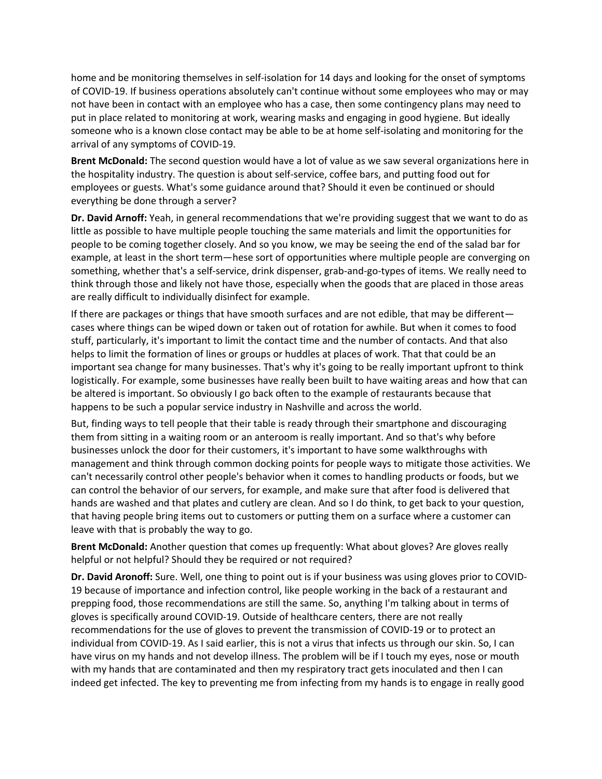home and be monitoring themselves in self-isolation for 14 days and looking for the onset of symptoms of COVID-19. If business operations absolutely can't continue without some employees who may or may not have been in contact with an employee who has a case, then some contingency plans may need to put in place related to monitoring at work, wearing masks and engaging in good hygiene. But ideally someone who is a known close contact may be able to be at home self-isolating and monitoring for the arrival of any symptoms of COVID-19.

**Brent McDonald:** The second question would have a lot of value as we saw several organizations here in the hospitality industry. The question is about self-service, coffee bars, and putting food out for employees or guests. What's some guidance around that? Should it even be continued or should everything be done through a server?

**Dr. David Arnoff:** Yeah, in general recommendations that we're providing suggest that we want to do as little as possible to have multiple people touching the same materials and limit the opportunities for people to be coming together closely. And so you know, we may be seeing the end of the salad bar for example, at least in the short term—hese sort of opportunities where multiple people are converging on something, whether that's a self-service, drink dispenser, grab-and-go-types of items. We really need to think through those and likely not have those, especially when the goods that are placed in those areas are really difficult to individually disinfect for example.

If there are packages or things that have smooth surfaces and are not edible, that may be different cases where things can be wiped down or taken out of rotation for awhile. But when it comes to food stuff, particularly, it's important to limit the contact time and the number of contacts. And that also helps to limit the formation of lines or groups or huddles at places of work. That that could be an important sea change for many businesses. That's why it's going to be really important upfront to think logistically. For example, some businesses have really been built to have waiting areas and how that can be altered is important. So obviously I go back often to the example of restaurants because that happens to be such a popular service industry in Nashville and across the world.

But, finding ways to tell people that their table is ready through their smartphone and discouraging them from sitting in a waiting room or an anteroom is really important. And so that's why before businesses unlock the door for their customers, it's important to have some walkthroughs with management and think through common docking points for people ways to mitigate those activities. We can't necessarily control other people's behavior when it comes to handling products or foods, but we can control the behavior of our servers, for example, and make sure that after food is delivered that hands are washed and that plates and cutlery are clean. And so I do think, to get back to your question, that having people bring items out to customers or putting them on a surface where a customer can leave with that is probably the way to go.

**Brent McDonald:** Another question that comes up frequently: What about gloves? Are gloves really helpful or not helpful? Should they be required or not required?

**Dr. David Aronoff:** Sure. Well, one thing to point out is if your business was using gloves prior to COVID-19 because of importance and infection control, like people working in the back of a restaurant and prepping food, those recommendations are still the same. So, anything I'm talking about in terms of gloves is specifically around COVID-19. Outside of healthcare centers, there are not really recommendations for the use of gloves to prevent the transmission of COVID-19 or to protect an individual from COVID-19. As I said earlier, this is not a virus that infects us through our skin. So, I can have virus on my hands and not develop illness. The problem will be if I touch my eyes, nose or mouth with my hands that are contaminated and then my respiratory tract gets inoculated and then I can indeed get infected. The key to preventing me from infecting from my hands is to engage in really good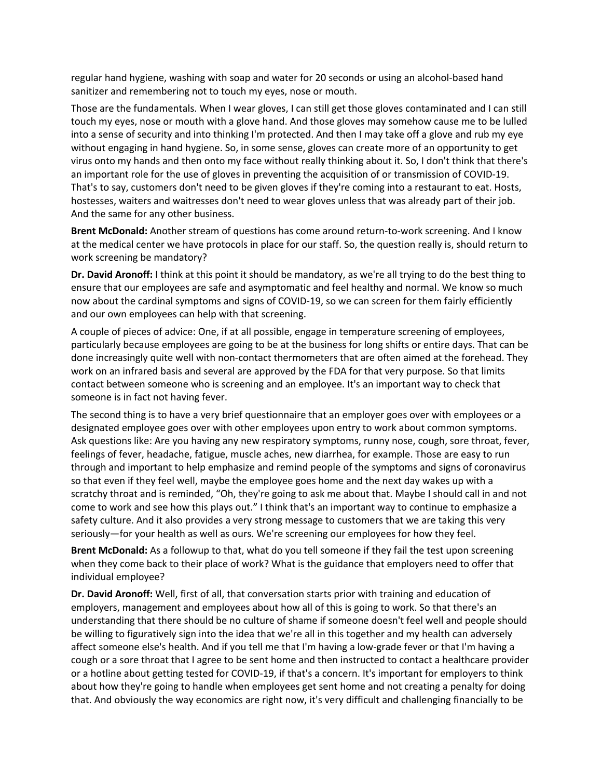regular hand hygiene, washing with soap and water for 20 seconds or using an alcohol-based hand sanitizer and remembering not to touch my eyes, nose or mouth.

Those are the fundamentals. When I wear gloves, I can still get those gloves contaminated and I can still touch my eyes, nose or mouth with a glove hand. And those gloves may somehow cause me to be lulled into a sense of security and into thinking I'm protected. And then I may take off a glove and rub my eye without engaging in hand hygiene. So, in some sense, gloves can create more of an opportunity to get virus onto my hands and then onto my face without really thinking about it. So, I don't think that there's an important role for the use of gloves in preventing the acquisition of or transmission of COVID-19. That's to say, customers don't need to be given gloves if they're coming into a restaurant to eat. Hosts, hostesses, waiters and waitresses don't need to wear gloves unless that was already part of their job. And the same for any other business.

**Brent McDonald:** Another stream of questions has come around return-to-work screening. And I know at the medical center we have protocols in place for our staff. So, the question really is, should return to work screening be mandatory?

**Dr. David Aronoff:** I think at this point it should be mandatory, as we're all trying to do the best thing to ensure that our employees are safe and asymptomatic and feel healthy and normal. We know so much now about the cardinal symptoms and signs of COVID-19, so we can screen for them fairly efficiently and our own employees can help with that screening.

A couple of pieces of advice: One, if at all possible, engage in temperature screening of employees, particularly because employees are going to be at the business for long shifts or entire days. That can be done increasingly quite well with non-contact thermometers that are often aimed at the forehead. They work on an infrared basis and several are approved by the FDA for that very purpose. So that limits contact between someone who is screening and an employee. It's an important way to check that someone is in fact not having fever.

The second thing is to have a very brief questionnaire that an employer goes over with employees or a designated employee goes over with other employees upon entry to work about common symptoms. Ask questions like: Are you having any new respiratory symptoms, runny nose, cough, sore throat, fever, feelings of fever, headache, fatigue, muscle aches, new diarrhea, for example. Those are easy to run through and important to help emphasize and remind people of the symptoms and signs of coronavirus so that even if they feel well, maybe the employee goes home and the next day wakes up with a scratchy throat and is reminded, "Oh, they're going to ask me about that. Maybe I should call in and not come to work and see how this plays out." I think that's an important way to continue to emphasize a safety culture. And it also provides a very strong message to customers that we are taking this very seriously—for your health as well as ours. We're screening our employees for how they feel.

**Brent McDonald:** As a followup to that, what do you tell someone if they fail the test upon screening when they come back to their place of work? What is the guidance that employers need to offer that individual employee?

**Dr. David Aronoff:** Well, first of all, that conversation starts prior with training and education of employers, management and employees about how all of this is going to work. So that there's an understanding that there should be no culture of shame if someone doesn't feel well and people should be willing to figuratively sign into the idea that we're all in this together and my health can adversely affect someone else's health. And if you tell me that I'm having a low-grade fever or that I'm having a cough or a sore throat that I agree to be sent home and then instructed to contact a healthcare provider or a hotline about getting tested for COVID-19, if that's a concern. It's important for employers to think about how they're going to handle when employees get sent home and not creating a penalty for doing that. And obviously the way economics are right now, it's very difficult and challenging financially to be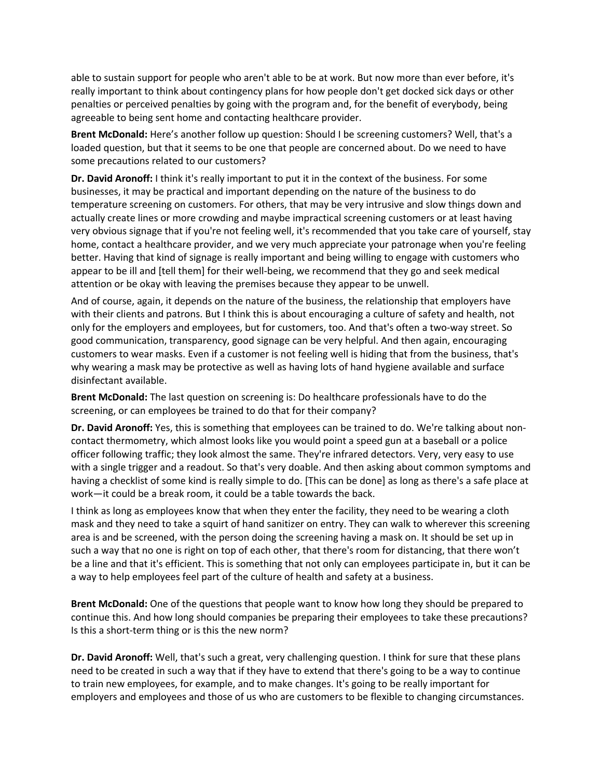able to sustain support for people who aren't able to be at work. But now more than ever before, it's really important to think about contingency plans for how people don't get docked sick days or other penalties or perceived penalties by going with the program and, for the benefit of everybody, being agreeable to being sent home and contacting healthcare provider.

**Brent McDonald:** Here's another follow up question: Should I be screening customers? Well, that's a loaded question, but that it seems to be one that people are concerned about. Do we need to have some precautions related to our customers?

**Dr. David Aronoff:** I think it's really important to put it in the context of the business. For some businesses, it may be practical and important depending on the nature of the business to do temperature screening on customers. For others, that may be very intrusive and slow things down and actually create lines or more crowding and maybe impractical screening customers or at least having very obvious signage that if you're not feeling well, it's recommended that you take care of yourself, stay home, contact a healthcare provider, and we very much appreciate your patronage when you're feeling better. Having that kind of signage is really important and being willing to engage with customers who appear to be ill and [tell them] for their well-being, we recommend that they go and seek medical attention or be okay with leaving the premises because they appear to be unwell.

And of course, again, it depends on the nature of the business, the relationship that employers have with their clients and patrons. But I think this is about encouraging a culture of safety and health, not only for the employers and employees, but for customers, too. And that's often a two-way street. So good communication, transparency, good signage can be very helpful. And then again, encouraging customers to wear masks. Even if a customer is not feeling well is hiding that from the business, that's why wearing a mask may be protective as well as having lots of hand hygiene available and surface disinfectant available.

**Brent McDonald:** The last question on screening is: Do healthcare professionals have to do the screening, or can employees be trained to do that for their company?

**Dr. David Aronoff:** Yes, this is something that employees can be trained to do. We're talking about noncontact thermometry, which almost looks like you would point a speed gun at a baseball or a police officer following traffic; they look almost the same. They're infrared detectors. Very, very easy to use with a single trigger and a readout. So that's very doable. And then asking about common symptoms and having a checklist of some kind is really simple to do. [This can be done] as long as there's a safe place at work—it could be a break room, it could be a table towards the back.

I think as long as employees know that when they enter the facility, they need to be wearing a cloth mask and they need to take a squirt of hand sanitizer on entry. They can walk to wherever this screening area is and be screened, with the person doing the screening having a mask on. It should be set up in such a way that no one is right on top of each other, that there's room for distancing, that there won't be a line and that it's efficient. This is something that not only can employees participate in, but it can be a way to help employees feel part of the culture of health and safety at a business.

**Brent McDonald:** One of the questions that people want to know how long they should be prepared to continue this. And how long should companies be preparing their employees to take these precautions? Is this a short-term thing or is this the new norm?

**Dr. David Aronoff:** Well, that's such a great, very challenging question. I think for sure that these plans need to be created in such a way that if they have to extend that there's going to be a way to continue to train new employees, for example, and to make changes. It's going to be really important for employers and employees and those of us who are customers to be flexible to changing circumstances.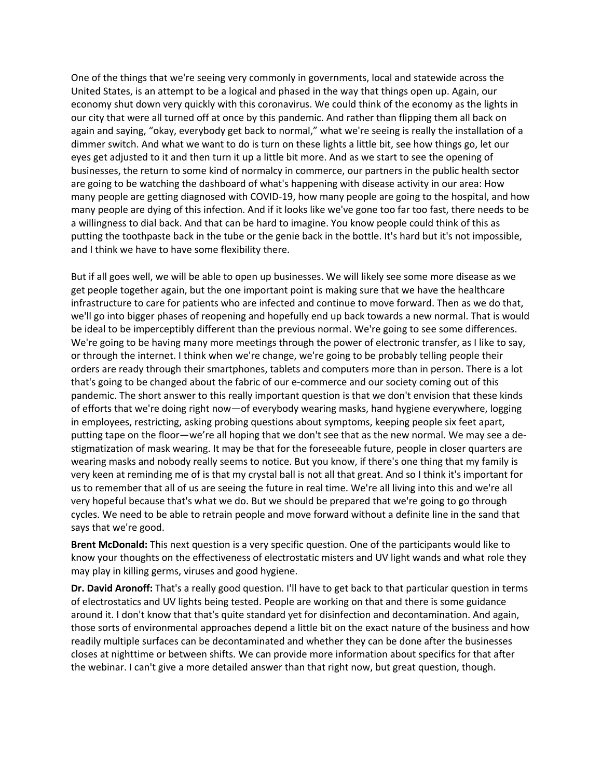One of the things that we're seeing very commonly in governments, local and statewide across the United States, is an attempt to be a logical and phased in the way that things open up. Again, our economy shut down very quickly with this coronavirus. We could think of the economy as the lights in our city that were all turned off at once by this pandemic. And rather than flipping them all back on again and saying, "okay, everybody get back to normal," what we're seeing is really the installation of a dimmer switch. And what we want to do is turn on these lights a little bit, see how things go, let our eyes get adjusted to it and then turn it up a little bit more. And as we start to see the opening of businesses, the return to some kind of normalcy in commerce, our partners in the public health sector are going to be watching the dashboard of what's happening with disease activity in our area: How many people are getting diagnosed with COVID-19, how many people are going to the hospital, and how many people are dying of this infection. And if it looks like we've gone too far too fast, there needs to be a willingness to dial back. And that can be hard to imagine. You know people could think of this as putting the toothpaste back in the tube or the genie back in the bottle. It's hard but it's not impossible, and I think we have to have some flexibility there.

But if all goes well, we will be able to open up businesses. We will likely see some more disease as we get people together again, but the one important point is making sure that we have the healthcare infrastructure to care for patients who are infected and continue to move forward. Then as we do that, we'll go into bigger phases of reopening and hopefully end up back towards a new normal. That is would be ideal to be imperceptibly different than the previous normal. We're going to see some differences. We're going to be having many more meetings through the power of electronic transfer, as I like to say, or through the internet. I think when we're change, we're going to be probably telling people their orders are ready through their smartphones, tablets and computers more than in person. There is a lot that's going to be changed about the fabric of our e-commerce and our society coming out of this pandemic. The short answer to this really important question is that we don't envision that these kinds of efforts that we're doing right now—of everybody wearing masks, hand hygiene everywhere, logging in employees, restricting, asking probing questions about symptoms, keeping people six feet apart, putting tape on the floor—we're all hoping that we don't see that as the new normal. We may see a destigmatization of mask wearing. It may be that for the foreseeable future, people in closer quarters are wearing masks and nobody really seems to notice. But you know, if there's one thing that my family is very keen at reminding me of is that my crystal ball is not all that great. And so I think it's important for us to remember that all of us are seeing the future in real time. We're all living into this and we're all very hopeful because that's what we do. But we should be prepared that we're going to go through cycles. We need to be able to retrain people and move forward without a definite line in the sand that says that we're good.

**Brent McDonald:** This next question is a very specific question. One of the participants would like to know your thoughts on the effectiveness of electrostatic misters and UV light wands and what role they may play in killing germs, viruses and good hygiene.

**Dr. David Aronoff:** That's a really good question. I'll have to get back to that particular question in terms of electrostatics and UV lights being tested. People are working on that and there is some guidance around it. I don't know that that's quite standard yet for disinfection and decontamination. And again, those sorts of environmental approaches depend a little bit on the exact nature of the business and how readily multiple surfaces can be decontaminated and whether they can be done after the businesses closes at nighttime or between shifts. We can provide more information about specifics for that after the webinar. I can't give a more detailed answer than that right now, but great question, though.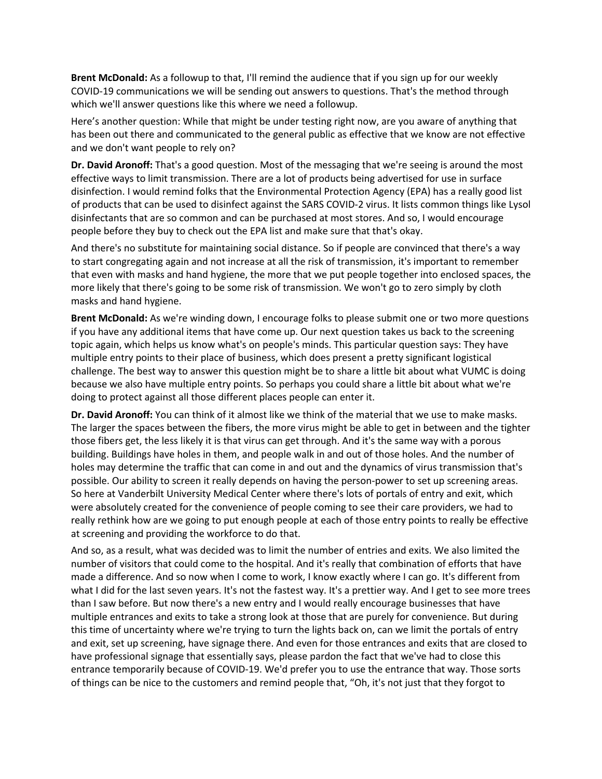**Brent McDonald:** As a followup to that, I'll remind the audience that if you sign up for our weekly COVID-19 communications we will be sending out answers to questions. That's the method through which we'll answer questions like this where we need a followup.

Here's another question: While that might be under testing right now, are you aware of anything that has been out there and communicated to the general public as effective that we know are not effective and we don't want people to rely on?

**Dr. David Aronoff:** That's a good question. Most of the messaging that we're seeing is around the most effective ways to limit transmission. There are a lot of products being advertised for use in surface disinfection. I would remind folks that the Environmental Protection Agency (EPA) has a really good list of products that can be used to disinfect against the SARS COVID-2 virus. It lists common things like Lysol disinfectants that are so common and can be purchased at most stores. And so, I would encourage people before they buy to check out the EPA list and make sure that that's okay.

And there's no substitute for maintaining social distance. So if people are convinced that there's a way to start congregating again and not increase at all the risk of transmission, it's important to remember that even with masks and hand hygiene, the more that we put people together into enclosed spaces, the more likely that there's going to be some risk of transmission. We won't go to zero simply by cloth masks and hand hygiene.

**Brent McDonald:** As we're winding down, I encourage folks to please submit one or two more questions if you have any additional items that have come up. Our next question takes us back to the screening topic again, which helps us know what's on people's minds. This particular question says: They have multiple entry points to their place of business, which does present a pretty significant logistical challenge. The best way to answer this question might be to share a little bit about what VUMC is doing because we also have multiple entry points. So perhaps you could share a little bit about what we're doing to protect against all those different places people can enter it.

**Dr. David Aronoff:** You can think of it almost like we think of the material that we use to make masks. The larger the spaces between the fibers, the more virus might be able to get in between and the tighter those fibers get, the less likely it is that virus can get through. And it's the same way with a porous building. Buildings have holes in them, and people walk in and out of those holes. And the number of holes may determine the traffic that can come in and out and the dynamics of virus transmission that's possible. Our ability to screen it really depends on having the person-power to set up screening areas. So here at Vanderbilt University Medical Center where there's lots of portals of entry and exit, which were absolutely created for the convenience of people coming to see their care providers, we had to really rethink how are we going to put enough people at each of those entry points to really be effective at screening and providing the workforce to do that.

And so, as a result, what was decided was to limit the number of entries and exits. We also limited the number of visitors that could come to the hospital. And it's really that combination of efforts that have made a difference. And so now when I come to work, I know exactly where I can go. It's different from what I did for the last seven years. It's not the fastest way. It's a prettier way. And I get to see more trees than I saw before. But now there's a new entry and I would really encourage businesses that have multiple entrances and exits to take a strong look at those that are purely for convenience. But during this time of uncertainty where we're trying to turn the lights back on, can we limit the portals of entry and exit, set up screening, have signage there. And even for those entrances and exits that are closed to have professional signage that essentially says, please pardon the fact that we've had to close this entrance temporarily because of COVID-19. We'd prefer you to use the entrance that way. Those sorts of things can be nice to the customers and remind people that, "Oh, it's not just that they forgot to